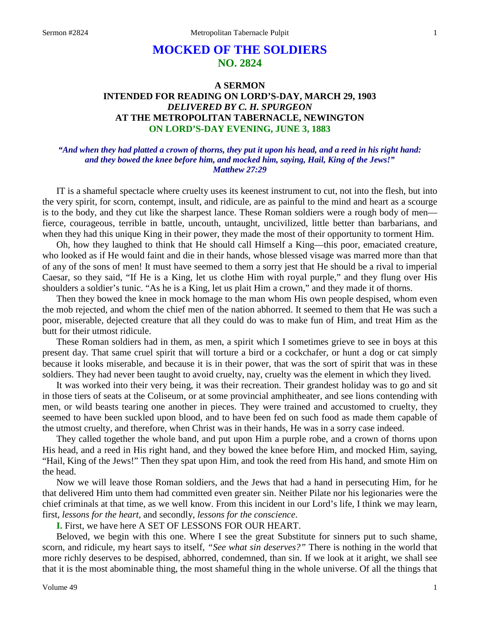# **MOCKED OF THE SOLDIERS NO. 2824**

## **A SERMON INTENDED FOR READING ON LORD'S-DAY, MARCH 29, 1903** *DELIVERED BY C. H. SPURGEON* **AT THE METROPOLITAN TABERNACLE, NEWINGTON ON LORD'S-DAY EVENING, JUNE 3, 1883**

### *"And when they had platted a crown of thorns, they put it upon his head, and a reed in his right hand: and they bowed the knee before him, and mocked him, saying, Hail, King of the Jews!" Matthew 27:29*

IT is a shameful spectacle where cruelty uses its keenest instrument to cut, not into the flesh, but into the very spirit, for scorn, contempt, insult, and ridicule, are as painful to the mind and heart as a scourge is to the body, and they cut like the sharpest lance. These Roman soldiers were a rough body of men fierce, courageous, terrible in battle, uncouth, untaught, uncivilized, little better than barbarians, and when they had this unique King in their power, they made the most of their opportunity to torment Him.

Oh, how they laughed to think that He should call Himself a King—this poor, emaciated creature, who looked as if He would faint and die in their hands, whose blessed visage was marred more than that of any of the sons of men! It must have seemed to them a sorry jest that He should be a rival to imperial Caesar, so they said, "If He is a King, let us clothe Him with royal purple," and they flung over His shoulders a soldier's tunic. "As he is a King, let us plait Him a crown," and they made it of thorns.

Then they bowed the knee in mock homage to the man whom His own people despised, whom even the mob rejected, and whom the chief men of the nation abhorred. It seemed to them that He was such a poor, miserable, dejected creature that all they could do was to make fun of Him, and treat Him as the butt for their utmost ridicule.

These Roman soldiers had in them, as men, a spirit which I sometimes grieve to see in boys at this present day. That same cruel spirit that will torture a bird or a cockchafer, or hunt a dog or cat simply because it looks miserable, and because it is in their power, that was the sort of spirit that was in these soldiers. They had never been taught to avoid cruelty, nay, cruelty was the element in which they lived.

It was worked into their very being, it was their recreation. Their grandest holiday was to go and sit in those tiers of seats at the Coliseum, or at some provincial amphitheater, and see lions contending with men, or wild beasts tearing one another in pieces. They were trained and accustomed to cruelty, they seemed to have been suckled upon blood, and to have been fed on such food as made them capable of the utmost cruelty, and therefore, when Christ was in their hands, He was in a sorry case indeed.

They called together the whole band, and put upon Him a purple robe, and a crown of thorns upon His head, and a reed in His right hand, and they bowed the knee before Him, and mocked Him, saying, "Hail, King of the Jews!" Then they spat upon Him, and took the reed from His hand, and smote Him on the head.

Now we will leave those Roman soldiers, and the Jews that had a hand in persecuting Him, for he that delivered Him unto them had committed even greater sin. Neither Pilate nor his legionaries were the chief criminals at that time, as we well know. From this incident in our Lord's life, I think we may learn, first, *lessons for the heart,* and secondly, *lessons for the conscience*.

**I.** First, we have here A SET OF LESSONS FOR OUR HEART.

Beloved, we begin with this one. Where I see the great Substitute for sinners put to such shame, scorn, and ridicule, my heart says to itself, *"See what sin deserves?"* There is nothing in the world that more richly deserves to be despised, abhorred, condemned, than sin. If we look at it aright, we shall see that it is the most abominable thing, the most shameful thing in the whole universe. Of all the things that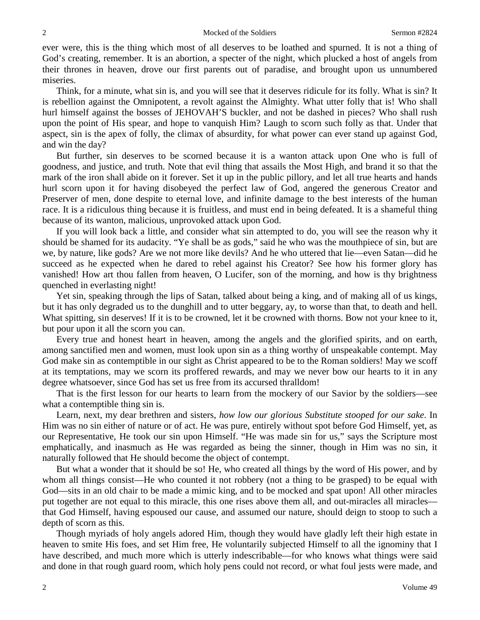ever were, this is the thing which most of all deserves to be loathed and spurned. It is not a thing of God's creating, remember. It is an abortion, a specter of the night, which plucked a host of angels from their thrones in heaven, drove our first parents out of paradise, and brought upon us unnumbered miseries.

Think, for a minute, what sin is, and you will see that it deserves ridicule for its folly. What is sin? It is rebellion against the Omnipotent, a revolt against the Almighty. What utter folly that is! Who shall hurl himself against the bosses of JEHOVAH'S buckler, and not be dashed in pieces? Who shall rush upon the point of His spear, and hope to vanquish Him? Laugh to scorn such folly as that. Under that aspect, sin is the apex of folly, the climax of absurdity, for what power can ever stand up against God, and win the day?

But further, sin deserves to be scorned because it is a wanton attack upon One who is full of goodness, and justice, and truth. Note that evil thing that assails the Most High, and brand it so that the mark of the iron shall abide on it forever. Set it up in the public pillory, and let all true hearts and hands hurl scorn upon it for having disobeyed the perfect law of God, angered the generous Creator and Preserver of men, done despite to eternal love, and infinite damage to the best interests of the human race. It is a ridiculous thing because it is fruitless, and must end in being defeated. It is a shameful thing because of its wanton, malicious, unprovoked attack upon God.

If you will look back a little, and consider what sin attempted to do, you will see the reason why it should be shamed for its audacity. "Ye shall be as gods," said he who was the mouthpiece of sin, but are we, by nature, like gods? Are we not more like devils? And he who uttered that lie—even Satan—did he succeed as he expected when he dared to rebel against his Creator? See how his former glory has vanished! How art thou fallen from heaven, O Lucifer, son of the morning, and how is thy brightness quenched in everlasting night!

Yet sin, speaking through the lips of Satan, talked about being a king, and of making all of us kings, but it has only degraded us to the dunghill and to utter beggary, ay, to worse than that, to death and hell. What spitting, sin deserves! If it is to be crowned, let it be crowned with thorns. Bow not your knee to it, but pour upon it all the scorn you can.

Every true and honest heart in heaven, among the angels and the glorified spirits, and on earth, among sanctified men and women, must look upon sin as a thing worthy of unspeakable contempt. May God make sin as contemptible in our sight as Christ appeared to be to the Roman soldiers! May we scoff at its temptations, may we scorn its proffered rewards, and may we never bow our hearts to it in any degree whatsoever, since God has set us free from its accursed thralldom!

That is the first lesson for our hearts to learn from the mockery of our Savior by the soldiers—see what a contemptible thing sin is.

Learn, next, my dear brethren and sisters, *how low our glorious Substitute stooped for our sake*. In Him was no sin either of nature or of act. He was pure, entirely without spot before God Himself, yet, as our Representative, He took our sin upon Himself. "He was made sin for us," says the Scripture most emphatically, and inasmuch as He was regarded as being the sinner, though in Him was no sin, it naturally followed that He should become the object of contempt.

But what a wonder that it should be so! He, who created all things by the word of His power, and by whom all things consist—He who counted it not robbery (not a thing to be grasped) to be equal with God—sits in an old chair to be made a mimic king, and to be mocked and spat upon! All other miracles put together are not equal to this miracle, this one rises above them all, and out-miracles all miracles that God Himself, having espoused our cause, and assumed our nature, should deign to stoop to such a depth of scorn as this.

Though myriads of holy angels adored Him, though they would have gladly left their high estate in heaven to smite His foes, and set Him free, He voluntarily subjected Himself to all the ignominy that I have described, and much more which is utterly indescribable—for who knows what things were said and done in that rough guard room, which holy pens could not record, or what foul jests were made, and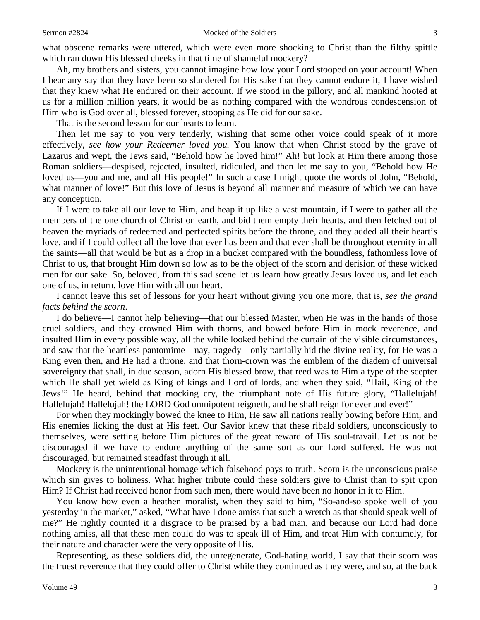what obscene remarks were uttered, which were even more shocking to Christ than the filthy spittle which ran down His blessed cheeks in that time of shameful mockery?

Ah, my brothers and sisters, you cannot imagine how low your Lord stooped on your account! When I hear any say that they have been so slandered for His sake that they cannot endure it, I have wished that they knew what He endured on their account. If we stood in the pillory, and all mankind hooted at us for a million million years, it would be as nothing compared with the wondrous condescension of Him who is God over all, blessed forever, stooping as He did for our sake.

That is the second lesson for our hearts to learn.

Then let me say to you very tenderly, wishing that some other voice could speak of it more effectively, *see how your Redeemer loved you.* You know that when Christ stood by the grave of Lazarus and wept, the Jews said, "Behold how he loved him!" Ah! but look at Him there among those Roman soldiers—despised, rejected, insulted, ridiculed, and then let me say to you, "Behold how He loved us—you and me, and all His people!" In such a case I might quote the words of John, "Behold, what manner of love!" But this love of Jesus is beyond all manner and measure of which we can have any conception.

If I were to take all our love to Him, and heap it up like a vast mountain, if I were to gather all the members of the one church of Christ on earth, and bid them empty their hearts, and then fetched out of heaven the myriads of redeemed and perfected spirits before the throne, and they added all their heart's love, and if I could collect all the love that ever has been and that ever shall be throughout eternity in all the saints—all that would be but as a drop in a bucket compared with the boundless, fathomless love of Christ to us, that brought Him down so low as to be the object of the scorn and derision of these wicked men for our sake. So, beloved, from this sad scene let us learn how greatly Jesus loved us, and let each one of us, in return, love Him with all our heart.

I cannot leave this set of lessons for your heart without giving you one more, that is, *see the grand facts behind the scorn*.

I do believe—I cannot help believing—that our blessed Master, when He was in the hands of those cruel soldiers, and they crowned Him with thorns, and bowed before Him in mock reverence, and insulted Him in every possible way, all the while looked behind the curtain of the visible circumstances, and saw that the heartless pantomime—nay, tragedy—only partially hid the divine reality, for He was a King even then, and He had a throne, and that thorn-crown was the emblem of the diadem of universal sovereignty that shall, in due season, adorn His blessed brow, that reed was to Him a type of the scepter which He shall yet wield as King of kings and Lord of lords, and when they said, "Hail, King of the Jews!" He heard, behind that mocking cry, the triumphant note of His future glory, "Hallelujah! Hallelujah! Hallelujah! the LORD God omnipotent reigneth, and he shall reign for ever and ever!"

For when they mockingly bowed the knee to Him, He saw all nations really bowing before Him, and His enemies licking the dust at His feet. Our Savior knew that these ribald soldiers, unconsciously to themselves, were setting before Him pictures of the great reward of His soul-travail. Let us not be discouraged if we have to endure anything of the same sort as our Lord suffered. He was not discouraged, but remained steadfast through it all.

Mockery is the unintentional homage which falsehood pays to truth. Scorn is the unconscious praise which sin gives to holiness. What higher tribute could these soldiers give to Christ than to spit upon Him? If Christ had received honor from such men, there would have been no honor in it to Him.

You know how even a heathen moralist, when they said to him, "So-and-so spoke well of you yesterday in the market," asked, "What have I done amiss that such a wretch as that should speak well of me?" He rightly counted it a disgrace to be praised by a bad man, and because our Lord had done nothing amiss, all that these men could do was to speak ill of Him, and treat Him with contumely, for their nature and character were the very opposite of His.

Representing, as these soldiers did, the unregenerate, God-hating world, I say that their scorn was the truest reverence that they could offer to Christ while they continued as they were, and so, at the back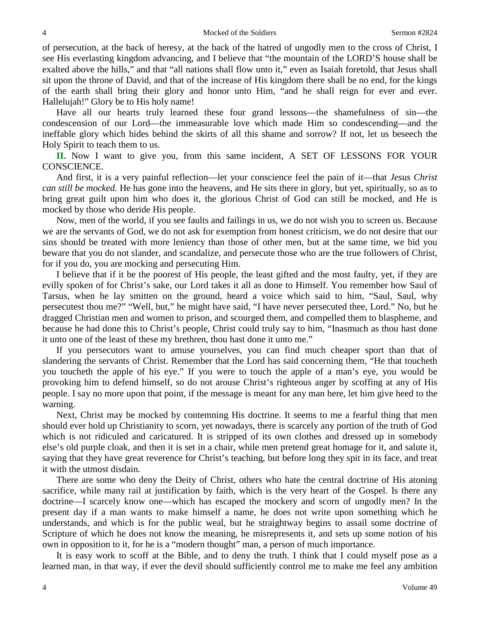of persecution, at the back of heresy, at the back of the hatred of ungodly men to the cross of Christ, I see His everlasting kingdom advancing, and I believe that "the mountain of the LORD'S house shall be exalted above the hills," and that "all nations shall flow unto it," even as Isaiah foretold, that Jesus shall sit upon the throne of David, and that of the increase of His kingdom there shall be no end, for the kings of the earth shall bring their glory and honor unto Him, "and he shall reign for ever and ever. Hallelujah!" Glory be to His holy name!

Have all our hearts truly learned these four grand lessons—the shamefulness of sin—the condescension of our Lord—the immeasurable love which made Him so condescending—and the ineffable glory which hides behind the skirts of all this shame and sorrow? If not, let us beseech the Holy Spirit to teach them to us.

**II.** Now I want to give you, from this same incident, A SET OF LESSONS FOR YOUR CONSCIENCE.

And first, it is a very painful reflection—let your conscience feel the pain of it—that *Jesus Christ can still be mocked*. He has gone into the heavens, and He sits there in glory, but yet, spiritually, so as to bring great guilt upon him who does it, the glorious Christ of God can still be mocked, and He is mocked by those who deride His people.

Now, men of the world, if you see faults and failings in us, we do not wish you to screen us. Because we are the servants of God, we do not ask for exemption from honest criticism, we do not desire that our sins should be treated with more leniency than those of other men, but at the same time, we bid you beware that you do not slander, and scandalize, and persecute those who are the true followers of Christ, for if you do, you are mocking and persecuting Him.

I believe that if it be the poorest of His people, the least gifted and the most faulty, yet, if they are evilly spoken of for Christ's sake, our Lord takes it all as done to Himself. You remember how Saul of Tarsus, when he lay smitten on the ground, heard a voice which said to him, "Saul, Saul, why persecutest thou me?" "Well, but," he might have said, "I have never persecuted thee, Lord." No, but he dragged Christian men and women to prison, and scourged them, and compelled them to blaspheme, and because he had done this to Christ's people, Christ could truly say to him, "Inasmuch as thou hast done it unto one of the least of these my brethren, thou hast done it unto me."

If you persecutors want to amuse yourselves, you can find much cheaper sport than that of slandering the servants of Christ. Remember that the Lord has said concerning them, "He that toucheth you toucheth the apple of his eye." If you were to touch the apple of a man's eye, you would be provoking him to defend himself, so do not arouse Christ's righteous anger by scoffing at any of His people. I say no more upon that point, if the message is meant for any man here, let him give heed to the warning.

Next, Christ may be mocked by contemning His doctrine. It seems to me a fearful thing that men should ever hold up Christianity to scorn, yet nowadays, there is scarcely any portion of the truth of God which is not ridiculed and caricatured. It is stripped of its own clothes and dressed up in somebody else's old purple cloak, and then it is set in a chair, while men pretend great homage for it, and salute it, saying that they have great reverence for Christ's teaching, but before long they spit in its face, and treat it with the utmost disdain.

There are some who deny the Deity of Christ, others who hate the central doctrine of His atoning sacrifice, while many rail at justification by faith, which is the very heart of the Gospel. Is there any doctrine—I scarcely know one—which has escaped the mockery and scorn of ungodly men? In the present day if a man wants to make himself a name, he does not write upon something which he understands, and which is for the public weal, but he straightway begins to assail some doctrine of Scripture of which he does not know the meaning, he misrepresents it, and sets up some notion of his own in opposition to it, for he is a "modern thought" man, a person of much importance.

It is easy work to scoff at the Bible, and to deny the truth. I think that I could myself pose as a learned man, in that way, if ever the devil should sufficiently control me to make me feel any ambition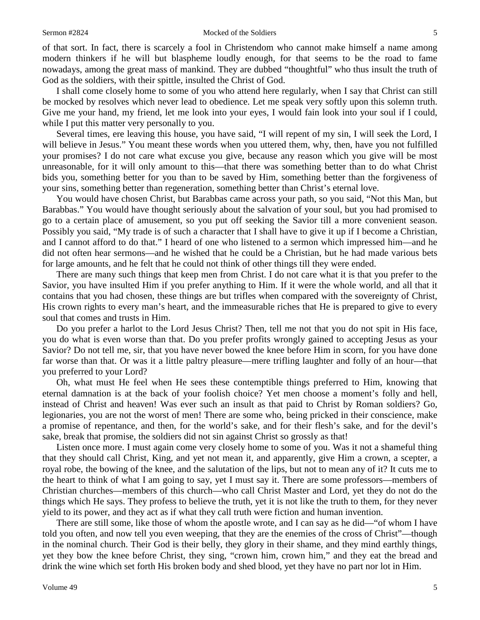of that sort. In fact, there is scarcely a fool in Christendom who cannot make himself a name among modern thinkers if he will but blaspheme loudly enough, for that seems to be the road to fame nowadays, among the great mass of mankind. They are dubbed "thoughtful" who thus insult the truth of God as the soldiers, with their spittle, insulted the Christ of God.

I shall come closely home to some of you who attend here regularly, when I say that Christ can still be mocked by resolves which never lead to obedience. Let me speak very softly upon this solemn truth. Give me your hand, my friend, let me look into your eyes, I would fain look into your soul if I could, while I put this matter very personally to you.

Several times, ere leaving this house, you have said, "I will repent of my sin, I will seek the Lord, I will believe in Jesus." You meant these words when you uttered them, why, then, have you not fulfilled your promises? I do not care what excuse you give, because any reason which you give will be most unreasonable, for it will only amount to this—that there was something better than to do what Christ bids you, something better for you than to be saved by Him, something better than the forgiveness of your sins, something better than regeneration, something better than Christ's eternal love.

You would have chosen Christ, but Barabbas came across your path, so you said, "Not this Man, but Barabbas." You would have thought seriously about the salvation of your soul, but you had promised to go to a certain place of amusement, so you put off seeking the Savior till a more convenient season. Possibly you said, "My trade is of such a character that I shall have to give it up if I become a Christian, and I cannot afford to do that." I heard of one who listened to a sermon which impressed him—and he did not often hear sermons—and he wished that he could be a Christian, but he had made various bets for large amounts, and he felt that he could not think of other things till they were ended.

There are many such things that keep men from Christ. I do not care what it is that you prefer to the Savior, you have insulted Him if you prefer anything to Him. If it were the whole world, and all that it contains that you had chosen, these things are but trifles when compared with the sovereignty of Christ, His crown rights to every man's heart, and the immeasurable riches that He is prepared to give to every soul that comes and trusts in Him.

Do you prefer a harlot to the Lord Jesus Christ? Then, tell me not that you do not spit in His face, you do what is even worse than that. Do you prefer profits wrongly gained to accepting Jesus as your Savior? Do not tell me, sir, that you have never bowed the knee before Him in scorn, for you have done far worse than that. Or was it a little paltry pleasure—mere trifling laughter and folly of an hour—that you preferred to your Lord?

Oh, what must He feel when He sees these contemptible things preferred to Him, knowing that eternal damnation is at the back of your foolish choice? Yet men choose a moment's folly and hell, instead of Christ and heaven! Was ever such an insult as that paid to Christ by Roman soldiers? Go, legionaries, you are not the worst of men! There are some who, being pricked in their conscience, make a promise of repentance, and then, for the world's sake, and for their flesh's sake, and for the devil's sake, break that promise, the soldiers did not sin against Christ so grossly as that!

Listen once more. I must again come very closely home to some of you. Was it not a shameful thing that they should call Christ, King, and yet not mean it, and apparently, give Him a crown, a scepter, a royal robe, the bowing of the knee, and the salutation of the lips, but not to mean any of it? It cuts me to the heart to think of what I am going to say, yet I must say it. There are some professors—members of Christian churches—members of this church—who call Christ Master and Lord, yet they do not do the things which He says. They profess to believe the truth, yet it is not like the truth to them, for they never yield to its power, and they act as if what they call truth were fiction and human invention.

There are still some, like those of whom the apostle wrote, and I can say as he did—"of whom I have told you often, and now tell you even weeping, that they are the enemies of the cross of Christ"—though in the nominal church. Their God is their belly, they glory in their shame, and they mind earthly things, yet they bow the knee before Christ, they sing, "crown him, crown him," and they eat the bread and drink the wine which set forth His broken body and shed blood, yet they have no part nor lot in Him.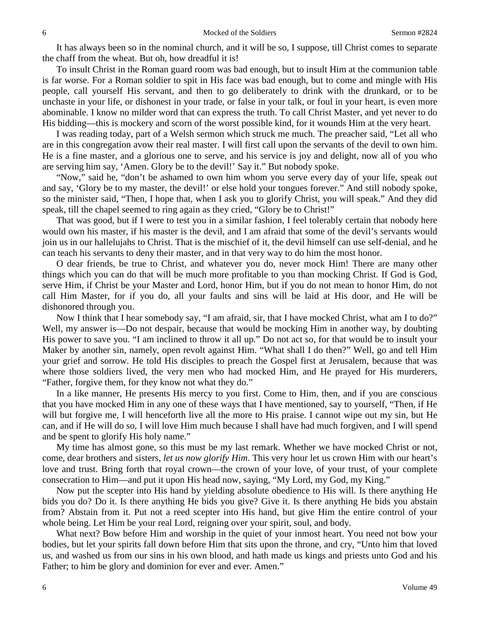It has always been so in the nominal church, and it will be so, I suppose, till Christ comes to separate the chaff from the wheat. But oh, how dreadful it is!

To insult Christ in the Roman guard room was bad enough, but to insult Him at the communion table is far worse. For a Roman soldier to spit in His face was bad enough, but to come and mingle with His people, call yourself His servant, and then to go deliberately to drink with the drunkard, or to be unchaste in your life, or dishonest in your trade, or false in your talk, or foul in your heart, is even more abominable. I know no milder word that can express the truth. To call Christ Master, and yet never to do His bidding—this is mockery and scorn of the worst possible kind, for it wounds Him at the very heart.

I was reading today, part of a Welsh sermon which struck me much. The preacher said, "Let all who are in this congregation avow their real master. I will first call upon the servants of the devil to own him. He is a fine master, and a glorious one to serve, and his service is joy and delight, now all of you who are serving him say, 'Amen. Glory be to the devil!' Say it." But nobody spoke.

"Now," said he, "don't be ashamed to own him whom you serve every day of your life, speak out and say, 'Glory be to my master, the devil!' or else hold your tongues forever." And still nobody spoke, so the minister said, "Then, I hope that, when I ask you to glorify Christ, you will speak." And they did speak, till the chapel seemed to ring again as they cried, "Glory be to Christ!"

That was good, but if I were to test you in a similar fashion, I feel tolerably certain that nobody here would own his master, if his master is the devil, and I am afraid that some of the devil's servants would join us in our hallelujahs to Christ. That is the mischief of it, the devil himself can use self-denial, and he can teach his servants to deny their master, and in that very way to do him the most honor.

O dear friends, be true to Christ, and whatever you do, never mock Him! There are many other things which you can do that will be much more profitable to you than mocking Christ. If God is God, serve Him, if Christ be your Master and Lord, honor Him, but if you do not mean to honor Him, do not call Him Master, for if you do, all your faults and sins will be laid at His door, and He will be dishonored through you.

Now I think that I hear somebody say, "I am afraid, sir, that I have mocked Christ, what am I to do?" Well, my answer is—Do not despair, because that would be mocking Him in another way, by doubting His power to save you. "I am inclined to throw it all up." Do not act so, for that would be to insult your Maker by another sin, namely, open revolt against Him. "What shall I do then?" Well, go and tell Him your grief and sorrow. He told His disciples to preach the Gospel first at Jerusalem, because that was where those soldiers lived, the very men who had mocked Him, and He prayed for His murderers, "Father, forgive them, for they know not what they do."

In a like manner, He presents His mercy to you first. Come to Him, then, and if you are conscious that you have mocked Him in any one of these ways that I have mentioned, say to yourself, "Then, if He will but forgive me, I will henceforth live all the more to His praise. I cannot wipe out my sin, but He can, and if He will do so, I will love Him much because I shall have had much forgiven, and I will spend and be spent to glorify His holy name."

My time has almost gone, so this must be my last remark. Whether we have mocked Christ or not, come, dear brothers and sisters, *let us now glorify Him*. This very hour let us crown Him with our heart's love and trust. Bring forth that royal crown—the crown of your love, of your trust, of your complete consecration to Him—and put it upon His head now, saying, "My Lord, my God, my King."

Now put the scepter into His hand by yielding absolute obedience to His will. Is there anything He bids you do? Do it. Is there anything He bids you give? Give it. Is there anything He bids you abstain from? Abstain from it. Put not a reed scepter into His hand, but give Him the entire control of your whole being. Let Him be your real Lord, reigning over your spirit, soul, and body.

What next? Bow before Him and worship in the quiet of your inmost heart. You need not bow your bodies, but let your spirits fall down before Him that sits upon the throne, and cry, "Unto him that loved us, and washed us from our sins in his own blood, and hath made us kings and priests unto God and his Father; to him be glory and dominion for ever and ever. Amen."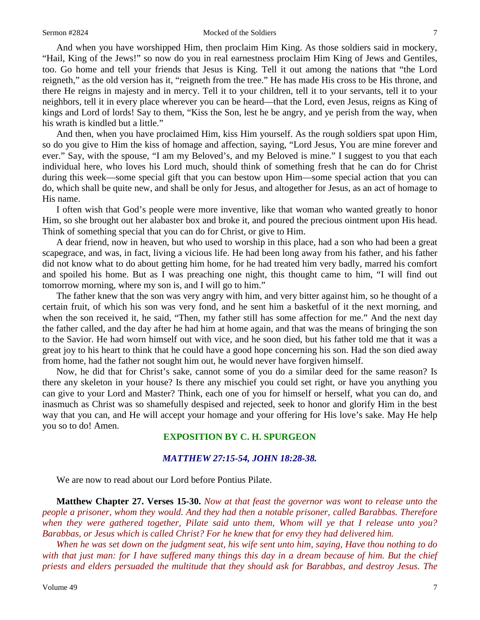And when you have worshipped Him, then proclaim Him King. As those soldiers said in mockery, "Hail, King of the Jews!" so now do you in real earnestness proclaim Him King of Jews and Gentiles, too. Go home and tell your friends that Jesus is King. Tell it out among the nations that "the Lord reigneth," as the old version has it, "reigneth from the tree." He has made His cross to be His throne, and there He reigns in majesty and in mercy. Tell it to your children, tell it to your servants, tell it to your neighbors, tell it in every place wherever you can be heard—that the Lord, even Jesus, reigns as King of kings and Lord of lords! Say to them, "Kiss the Son, lest he be angry, and ye perish from the way, when his wrath is kindled but a little."

And then, when you have proclaimed Him, kiss Him yourself. As the rough soldiers spat upon Him, so do you give to Him the kiss of homage and affection, saying, "Lord Jesus, You are mine forever and ever." Say, with the spouse, "I am my Beloved's, and my Beloved is mine." I suggest to you that each individual here, who loves his Lord much, should think of something fresh that he can do for Christ during this week—some special gift that you can bestow upon Him—some special action that you can do, which shall be quite new, and shall be only for Jesus, and altogether for Jesus, as an act of homage to His name.

I often wish that God's people were more inventive, like that woman who wanted greatly to honor Him, so she brought out her alabaster box and broke it, and poured the precious ointment upon His head. Think of something special that you can do for Christ, or give to Him.

A dear friend, now in heaven, but who used to worship in this place, had a son who had been a great scapegrace, and was, in fact, living a vicious life. He had been long away from his father, and his father did not know what to do about getting him home, for he had treated him very badly, marred his comfort and spoiled his home. But as I was preaching one night, this thought came to him, "I will find out tomorrow morning, where my son is, and I will go to him."

The father knew that the son was very angry with him, and very bitter against him, so he thought of a certain fruit, of which his son was very fond, and he sent him a basketful of it the next morning, and when the son received it, he said, "Then, my father still has some affection for me." And the next day the father called, and the day after he had him at home again, and that was the means of bringing the son to the Savior. He had worn himself out with vice, and he soon died, but his father told me that it was a great joy to his heart to think that he could have a good hope concerning his son. Had the son died away from home, had the father not sought him out, he would never have forgiven himself.

Now, he did that for Christ's sake, cannot some of you do a similar deed for the same reason? Is there any skeleton in your house? Is there any mischief you could set right, or have you anything you can give to your Lord and Master? Think, each one of you for himself or herself, what you can do, and inasmuch as Christ was so shamefully despised and rejected, seek to honor and glorify Him in the best way that you can, and He will accept your homage and your offering for His love's sake. May He help you so to do! Amen.

## **EXPOSITION BY C. H. SPURGEON**

### *MATTHEW 27:15-54, JOHN 18:28-38.*

We are now to read about our Lord before Pontius Pilate.

**Matthew Chapter 27. Verses 15-30.** *Now at that feast the governor was wont to release unto the people a prisoner, whom they would. And they had then a notable prisoner, called Barabbas. Therefore when they were gathered together, Pilate said unto them, Whom will ye that I release unto you? Barabbas, or Jesus which is called Christ? For he knew that for envy they had delivered him.* 

*When he was set down on the judgment seat, his wife sent unto him, saying, Have thou nothing to do*  with that just man: for I have suffered many things this day in a dream because of him. But the chief *priests and elders persuaded the multitude that they should ask for Barabbas, and destroy Jesus. The*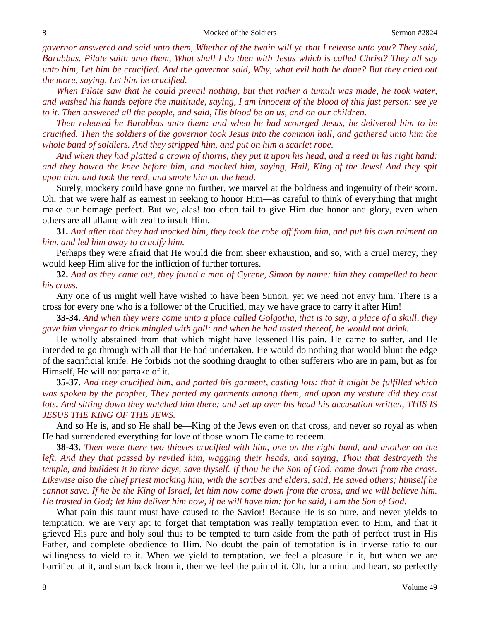*governor answered and said unto them, Whether of the twain will ye that I release unto you? They said, Barabbas. Pilate saith unto them, What shall I do then with Jesus which is called Christ? They all say unto him, Let him be crucified. And the governor said, Why, what evil hath he done? But they cried out the more, saying, Let him be crucified.* 

*When Pilate saw that he could prevail nothing, but that rather a tumult was made, he took water, and washed his hands before the multitude, saying, I am innocent of the blood of this just person: see ye to it. Then answered all the people, and said, His blood be on us, and on our children.* 

*Then released he Barabbas unto them: and when he had scourged Jesus, he delivered him to be crucified. Then the soldiers of the governor took Jesus into the common hall, and gathered unto him the whole band of soldiers. And they stripped him, and put on him a scarlet robe.* 

*And when they had platted a crown of thorns, they put it upon his head, and a reed in his right hand: and they bowed the knee before him, and mocked him, saying, Hail, King of the Jews! And they spit upon him, and took the reed, and smote him on the head.*

Surely, mockery could have gone no further, we marvel at the boldness and ingenuity of their scorn. Oh, that we were half as earnest in seeking to honor Him—as careful to think of everything that might make our homage perfect. But we, alas! too often fail to give Him due honor and glory, even when others are all aflame with zeal to insult Him.

**31.** *And after that they had mocked him, they took the robe off from him, and put his own raiment on him, and led him away to crucify him.*

Perhaps they were afraid that He would die from sheer exhaustion, and so, with a cruel mercy, they would keep Him alive for the infliction of further tortures.

**32.** *And as they came out, they found a man of Cyrene, Simon by name: him they compelled to bear his cross.*

Any one of us might well have wished to have been Simon, yet we need not envy him. There is a cross for every one who is a follower of the Crucified, may we have grace to carry it after Him!

**33-34.** *And when they were come unto a place called Golgotha, that is to say, a place of a skull, they gave him vinegar to drink mingled with gall: and when he had tasted thereof, he would not drink.*

He wholly abstained from that which might have lessened His pain. He came to suffer, and He intended to go through with all that He had undertaken. He would do nothing that would blunt the edge of the sacrificial knife. He forbids not the soothing draught to other sufferers who are in pain, but as for Himself, He will not partake of it.

**35-37.** *And they crucified him, and parted his garment, casting lots: that it might be fulfilled which was spoken by the prophet, They parted my garments among them, and upon my vesture did they cast lots. And sitting down they watched him there; and set up over his head his accusation written, THIS IS JESUS THE KING OF THE JEWS.*

And so He is, and so He shall be—King of the Jews even on that cross, and never so royal as when He had surrendered everything for love of those whom He came to redeem.

**38-43.** *Then were there two thieves crucified with him, one on the right hand, and another on the left. And they that passed by reviled him, wagging their heads, and saying, Thou that destroyeth the temple, and buildest it in three days, save thyself. If thou be the Son of God, come down from the cross. Likewise also the chief priest mocking him, with the scribes and elders, said, He saved others; himself he cannot save. If he be the King of Israel, let him now come down from the cross, and we will believe him. He trusted in God; let him deliver him now, if he will have him: for he said, I am the Son of God.*

What pain this taunt must have caused to the Savior! Because He is so pure, and never yields to temptation, we are very apt to forget that temptation was really temptation even to Him, and that it grieved His pure and holy soul thus to be tempted to turn aside from the path of perfect trust in His Father, and complete obedience to Him. No doubt the pain of temptation is in inverse ratio to our willingness to yield to it. When we yield to temptation, we feel a pleasure in it, but when we are horrified at it, and start back from it, then we feel the pain of it. Oh, for a mind and heart, so perfectly